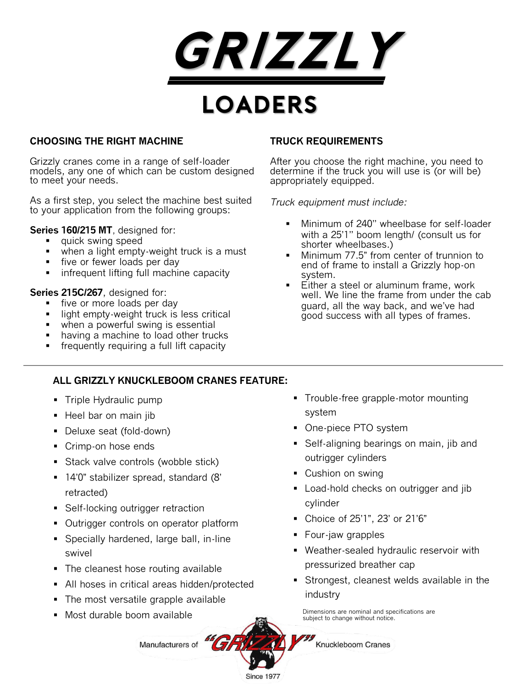

# **CHOOSING THE RIGHT MACHINE**

Grizzly cranes come in a range of self-loader models, any one of which can be custom designed to meet your needs.

As a first step, you select the machine best suited to your application from the following groups:

**Series 160/215 MT**, designed for:

- quick swing speed
- when a light empty-weight truck is a must
- **five or fewer loads per day**
- **F** infrequent lifting full machine capacity

### **Series 215C/267**, designed for:

- five or more loads per day
- **I** light empty-weight truck is less critical
- **when a powerful swing is essential**
- having a machine to load other trucks
- **fivalled** frequently requiring a full lift capacity

# **TRUCK REQUIREMENTS**

After you choose the right machine, you need to determine if the truck you will use is (or will be) appropriately equipped.

*Truck equipment must include:*

- **Minimum of 240" wheelbase for self-loader** with a 25'1'' boom length/ (consult us for shorter wheelbases.)
- Minimum 77.5" from center of trunnion to end of frame to install a Grizzly hop-on system.
- Either a steel or aluminum frame, work well. We line the frame from under the cab guard, all the way back, and we've had good success with all types of frames.

# **ALL GRIZZLY KNUCKLEBOOM CRANES FEATURE:**

- Triple Hydraulic pump
- Heel bar on main jib
- Deluxe seat (fold-down)
- Crimp-on hose ends
- Stack valve controls (wobble stick)
- 14'0" stabilizer spread, standard (8' retracted)
- Self-locking outrigger retraction
- Outrigger controls on operator platform
- Specially hardened, large ball, in-line swivel
- The cleanest hose routing available
- All hoses in critical areas hidden/protected
- The most versatile grapple available
- Most durable boom available
- Trouble-free grapple-motor mounting system
- One-piece PTO system
- **Self-aligning bearings on main, jib and** outrigger cylinders
- Cushion on swing
- **Load-hold checks on outrigger and jib** cylinder
- Choice of 25'1", 23' or 21'6"
- Four-jaw grapples
- Weather-sealed hydraulic reservoir with pressurized breather cap
- Strongest, cleanest welds available in the industry

Dimensions are nominal and specifications are subject to change without notice.



Knuckleboom Cranes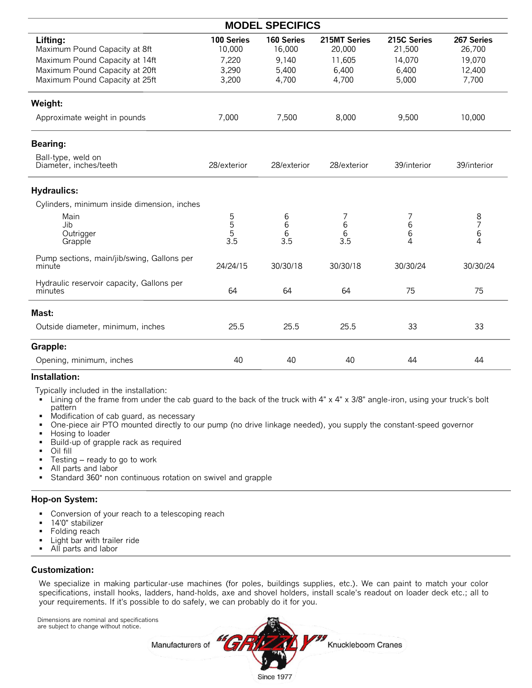| <b>MODEL SPECIFICS</b>                               |                      |                      |                                       |                       |                                       |  |  |  |
|------------------------------------------------------|----------------------|----------------------|---------------------------------------|-----------------------|---------------------------------------|--|--|--|
| Lifting:<br>Maximum Pound Capacity at 8ft            | 100 Series<br>10,000 | 160 Series<br>16,000 | 215MT Series<br>20,000                | 215C Series<br>21,500 | 267 Series<br>26,700                  |  |  |  |
| Maximum Pound Capacity at 14ft                       | 7,220                | 9,140                | 11,605                                | 14,070                | 19,070                                |  |  |  |
| Maximum Pound Capacity at 20ft                       | 3,290                | 5,400                | 6,400                                 | 6,400                 | 12,400                                |  |  |  |
| Maximum Pound Capacity at 25ft                       | 3,200                | 4,700                | 4,700                                 | 5,000                 | 7,700                                 |  |  |  |
| Weight:                                              |                      |                      |                                       |                       |                                       |  |  |  |
| Approximate weight in pounds                         | 7,000                | 7,500                | 8,000                                 | 9,500                 | 10,000                                |  |  |  |
| <b>Bearing:</b>                                      |                      |                      |                                       |                       |                                       |  |  |  |
| Ball-type, weld on<br>Diameter, inches/teeth         | 28/exterior          | 28/exterior          | 28/exterior                           | 39/interior           | 39/interior                           |  |  |  |
| <b>Hydraulics:</b>                                   |                      |                      |                                       |                       |                                       |  |  |  |
| Cylinders, minimum inside dimension, inches          |                      |                      |                                       |                       |                                       |  |  |  |
| Main                                                 |                      | 6                    | 7                                     | 7                     |                                       |  |  |  |
| Jib                                                  | 5<br>5<br>5          | 6                    | $\begin{array}{c} 6 \\ 6 \end{array}$ | 6                     | $\begin{array}{c} 8 \\ 7 \end{array}$ |  |  |  |
| Outrigger                                            | 3.5                  | 6<br>3.5             | 3.5                                   | 6<br>4                | 6<br>4                                |  |  |  |
| Grapple                                              |                      |                      |                                       |                       |                                       |  |  |  |
| Pump sections, main/jib/swing, Gallons per<br>minute | 24/24/15             | 30/30/18             | 30/30/18                              | 30/30/24              | 30/30/24                              |  |  |  |
| Hydraulic reservoir capacity, Gallons per<br>minutes | 64                   | 64                   | 64                                    | 75                    | 75                                    |  |  |  |
| Mast:                                                |                      |                      |                                       |                       |                                       |  |  |  |
| Outside diameter, minimum, inches                    | 25.5                 | 25.5                 | 25.5                                  | 33                    | 33                                    |  |  |  |
| Grapple:                                             |                      |                      |                                       |                       |                                       |  |  |  |
| Opening, minimum, inches                             | 40                   | 40                   | 40                                    | 44                    | 44                                    |  |  |  |
|                                                      |                      |                      |                                       |                       |                                       |  |  |  |

#### **Installation:**

Typically included in the installation:

- Lining of the frame from under the cab guard to the back of the truck with  $4" \times 4" \times 3/8"$  angle-iron, using your truck's bolt pattern
- $\blacksquare$  Modification of cab guard, as necessary
- One-piece air PTO mounted directly to our pump (no drive linkage needed), you supply the constant-speed governor
- Hosing to loader
- **Build-up of grapple rack as required**
- Oil fill
- **Testing ready to go to work**
- All parts and labor
- Standard 360° non continuous rotation on swivel and grapple

#### **Hop-on System:**

- **Conversion of your reach to a telescoping reach**
- 14'0" stabilizer
- Folding reach
- Light bar with trailer ride<br>■ All parts and labor
- All parts and labor

#### **Customization:**

We specialize in making particular-use machines (for poles, buildings supplies, etc.). We can paint to match your color specifications, install hooks, ladders, hand-holds, axe and shovel holders, install scale's readout on loader deck etc.; all to your requirements. If it's possible to do safely, we can probably do it for you.

 Dimensions are nominal and specifications are subject to change without notice.